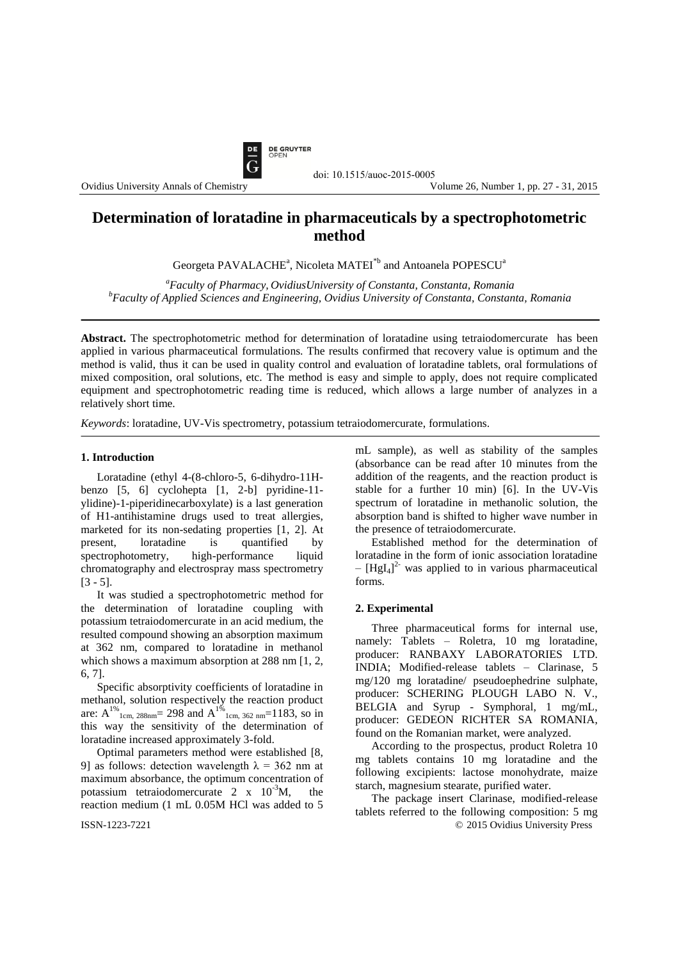

# **Determination of loratadine in pharmaceuticals by a spectrophotometric method**

doi: 10.1515/auoc-2015-0005

Georgeta PAVALACHE<sup>a</sup>, Nicoleta MATEI<sup>\*b</sup> and Antoanela POPESCU<sup>a</sup>

*<sup>a</sup>Faculty of Pharmacy, OvidiusUniversity of Constanta, Constanta, Romania <sup>b</sup>Faculty of Applied Sciences and Engineering, Ovidius University of Constanta, Constanta, Romania*

**Abstract.** The spectrophotometric method for determination of loratadine using tetraiodomercurate has been applied in various pharmaceutical formulations. The results confirmed that recovery value is optimum and the method is valid, thus it can be used in quality control and evaluation of loratadine tablets, oral formulations of mixed composition, oral solutions, etc. The method is easy and simple to apply, does not require complicated equipment and spectrophotometric reading time is reduced, which allows a large number of analyzes in a relatively short time.

*Keywords*: loratadine, UV-Vis spectrometry, potassium tetraiodomercurate, formulations.

## **1. Introduction**

Loratadine (ethyl 4-(8-chloro-5, 6-dihydro-11Hbenzo [5, 6] cyclohepta [1, 2-b] pyridine-11 ylidine)-1-piperidinecarboxylate) is a last generation of H1-antihistamine drugs used to treat [allergies,](http://en.wikipedia.org/wiki/Allergy) marketed for its non-sedating properties [1, 2]. At present, loratadine is quantified by spectrophotometry, high-performance liquid chromatography and electrospray mass spectrometry [3 - 5].

It was studied a spectrophotometric method for the determination of loratadine coupling with potassium tetraiodomercurate in an acid medium, the resulted compound showing an absorption maximum at 362 nm, compared to loratadine in methanol which shows a maximum absorption at 288 nm [1, 2, 6, 7].

Specific absorptivity coefficients of loratadine in methanol, solution respectively the reaction product are:  $A^{1\%}$ <sub>1cm, 288nm</sub> = 298 and  $A^{1\%}$ <sub>1cm, 362 nm</sub> = 1183, so in this way the sensitivity of the determination of loratadine increased approximately 3-fold.

Optimal parameters method were established [8, 9] as follows: detection wavelength  $\lambda = 362$  nm at maximum absorbance, the optimum concentration of potassium tetraiodomercurate 2 x  $10^{-3}$ M, the reaction medium (1 mL 0.05M HCl was added to 5

mL sample), as well as stability of the samples (absorbance can be read after 10 minutes from the addition of the reagents, and the reaction product is stable for a further 10 min) [6]. In the UV-Vis spectrum of loratadine in methanolic solution, the absorption band is shifted to higher wave number in the presence of tetraiodomercurate.

Established method for the determination of loratadine in the form of ionic association loratadine  $-$  [HgI<sub>4</sub>]<sup>2-</sup> was applied to in various pharmaceutical forms.

#### **2. Experimental**

Three pharmaceutical forms for internal use, namely: Tablets – Roletra, 10 mg loratadine, producer: RANBAXY LABORATORIES LTD. INDIA; Modified-release tablets – Clarinase, 5 mg/120 mg loratadine/ pseudoephedrine sulphate, producer: SCHERING PLOUGH LABO N. V., BELGIA and Syrup - Symphoral, 1 mg/mL, producer: GEDEON RICHTER SA ROMANIA, found on the Romanian market, were analyzed.

According to the prospectus, product Roletra 10 mg tablets contains 10 mg loratadine and the following excipients: lactose monohydrate, maize starch, magnesium stearate, purified water.

ISSN-1223-7221 © 2015 Ovidius University Press The package insert Clarinase, modified-release tablets referred to the following composition: 5 mg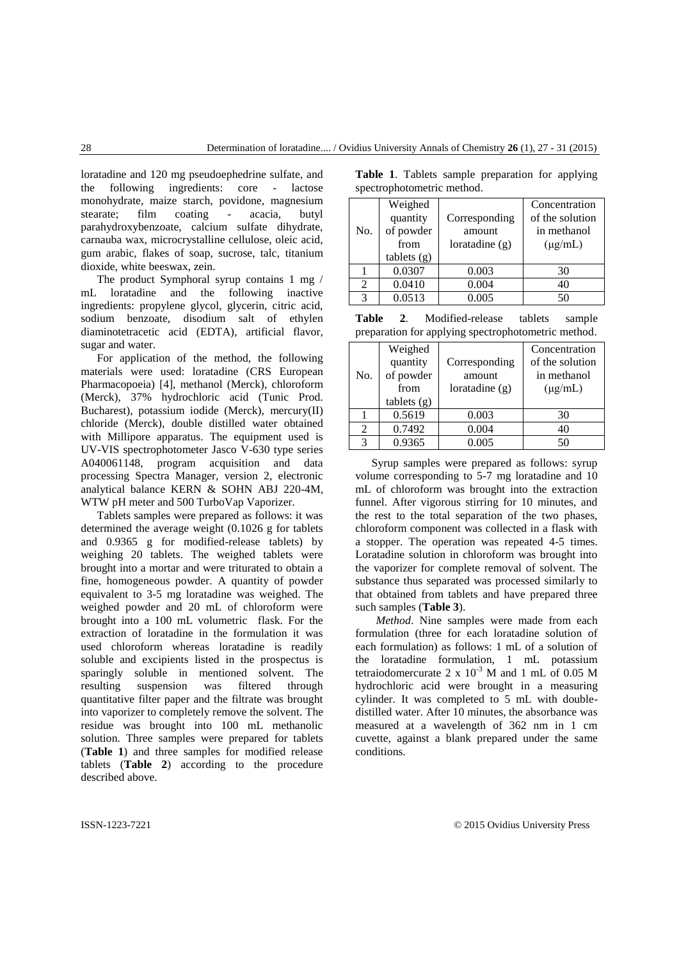loratadine and 120 mg pseudoephedrine sulfate, and the following ingredients: core - lactose monohydrate, maize starch, povidone, magnesium stearate; film coating - acacia, butyl parahydroxybenzoate, calcium sulfate dihydrate, carnauba wax, microcrystalline cellulose, oleic acid, gum arabic, flakes of soap, sucrose, talc, titanium dioxide, white beeswax, zein.

The product Symphoral syrup contains 1 mg / mL loratadine and the following inactive ingredients: propylene glycol, glycerin, citric acid, sodium benzoate, disodium salt of ethylen diaminotetracetic acid (EDTA), artificial flavor, sugar and water.

For application of the method, the following materials were used: loratadine (CRS European Pharmacopoeia) [4], methanol (Merck), chloroform (Merck), 37% hydrochloric acid (Tunic Prod. Bucharest), potassium iodide (Merck), mercury(II) chloride (Merck), double distilled water obtained with Millipore apparatus. The equipment used is UV-VIS spectrophotometer Jasco V-630 type series A040061148, program acquisition and data processing Spectra Manager, version 2, electronic analytical balance KERN & SOHN ABJ 220-4M, WTW pH meter and 500 TurboVap Vaporizer.

Tablets samples were prepared as follows: it was determined the average weight (0.1026 g for tablets and 0.9365 g for modified-release tablets) by weighing 20 tablets. The weighed tablets were brought into a mortar and were triturated to obtain a fine, homogeneous powder. A quantity of powder equivalent to 3-5 mg loratadine was weighed. The weighed powder and 20 mL of chloroform were brought into a 100 mL volumetric flask. For the extraction of loratadine in the formulation it was used chloroform whereas loratadine is readily soluble and excipients listed in the prospectus is sparingly soluble in mentioned solvent. The resulting suspension was filtered through quantitative filter paper and the filtrate was brought into vaporizer to completely remove the solvent. The residue was brought into 100 mL methanolic solution. Three samples were prepared for tablets (**Table 1**) and three samples for modified release tablets (**Table 2**) according to the procedure described above.

| $\beta$        |                                                       |                                             |                                                                 |  |
|----------------|-------------------------------------------------------|---------------------------------------------|-----------------------------------------------------------------|--|
| No.            | Weighed<br>quantity<br>of powder<br>from<br>tables(g) | Corresponding<br>amount<br>loratadine $(g)$ | Concentration<br>of the solution<br>in methanol<br>$(\mu g/mL)$ |  |
|                | 0.0307                                                | 0.003                                       | 30                                                              |  |
| $\mathfrak{D}$ | 0.0410                                                | 0.004                                       | 40                                                              |  |
| 3              | 0.0513                                                | 0.005                                       | 50                                                              |  |

**Table 1**. Tablets sample preparation for applying spectrophotometric method.

| Table | Modified-release                                    | tablets | sample |
|-------|-----------------------------------------------------|---------|--------|
|       | preparation for applying spectrophotometric method. |         |        |

|     | Weighed   |                  | Concentration   |
|-----|-----------|------------------|-----------------|
|     | quantity  | Corresponding    | of the solution |
| No. | of powder | amount           | in methanol     |
|     | from      | loratadine $(g)$ | $(\mu g/mL)$    |
|     | tables(g) |                  |                 |
|     | 0.5619    | 0.003            | 30              |
| 2   | 0.7492    | 0.004            | 40              |
| 3   | 0.9365    | 0.005            | 50              |

Syrup samples were prepared as follows: syrup volume corresponding to 5-7 mg loratadine and 10 mL of chloroform was brought into the extraction funnel. After vigorous stirring for 10 minutes, and the rest to the total separation of the two phases, chloroform component was collected in a flask with a stopper. The operation was repeated 4-5 times. Loratadine solution in chloroform was brought into the vaporizer for complete removal of solvent. The substance thus separated was processed similarly to that obtained from tablets and have prepared three such samples (**Table 3**).

*Method*. Nine samples were made from each formulation (three for each loratadine solution of each formulation) as follows: 1 mL of a solution of the loratadine formulation, 1 mL potassium tetraiodomercurate 2 x  $10^{-3}$  M and 1 mL of 0.05 M hydrochloric acid were brought in a measuring cylinder. It was completed to 5 mL with doubledistilled water. After 10 minutes, the absorbance was measured at a wavelength of 362 nm in 1 cm cuvette, against a blank prepared under the same conditions.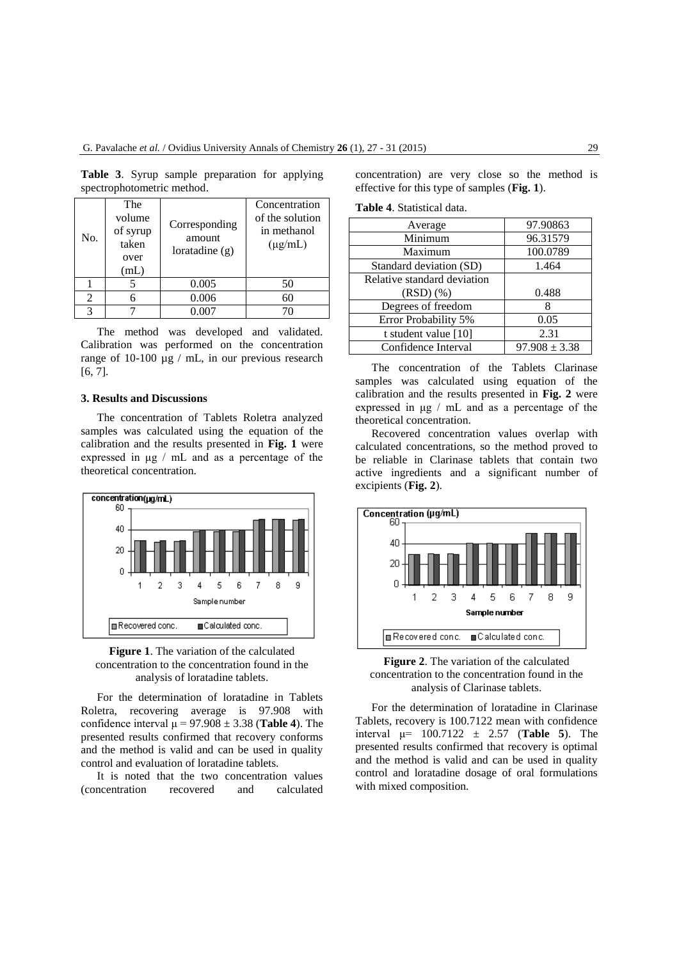| No. | The<br>volume<br>of syrup<br>taken<br>over<br>(mL) | Corresponding<br>amount<br>loratadine $(g)$ | Concentration<br>of the solution<br>in methanol<br>$(\mu g/mL)$ |
|-----|----------------------------------------------------|---------------------------------------------|-----------------------------------------------------------------|
|     |                                                    | 0.005                                       | 50                                                              |
| 2   |                                                    | 0.006                                       | 60                                                              |
| 3   |                                                    | 0.007                                       | 70                                                              |
|     |                                                    |                                             |                                                                 |

**Table 3**. Syrup sample preparation for applying spectrophotometric method.

The method was developed and validated. Calibration was performed on the concentration range of 10-100 µg / mL, in our previous research [6, 7].

#### **3. Results and Discussions**

The concentration of Tablets Roletra analyzed samples was calculated using the equation of the calibration and the results presented in **Fig. 1** were expressed in μg / mL and as a percentage of the theoretical concentration.





For the determination of loratadine in Tablets Roletra, recovering average is 97.908 with confidence interval  $\mu$  = 97.908  $\pm$  3.38 (**Table 4**). The presented results confirmed that recovery conforms and the method is valid and can be used in quality control and evaluation of loratadine tablets.

It is noted that the two concentration values (concentration recovered and calculated concentration) are very close so the method is effective for this type of samples (**Fig. 1**).

| <b>Table 4. Statistical data.</b> |
|-----------------------------------|
|-----------------------------------|

| Average                     | 97.90863          |
|-----------------------------|-------------------|
| Minimum                     | 96.31579          |
| Maximum                     | 100.0789          |
| Standard deviation (SD)     | 1.464             |
| Relative standard deviation |                   |
| (RSD)(%                     | 0.488             |
| Degrees of freedom          |                   |
| Error Probability 5%        | 0.05              |
| t student value $[10]$      | 2.31              |
| Confidence Interval         | $97.908 \pm 3.38$ |

The concentration of the Tablets Clarinase samples was calculated using equation of the calibration and the results presented in **Fig. 2** were expressed in μg / mL and as a percentage of the theoretical concentration.

Recovered concentration values overlap with calculated concentrations, so the method proved to be reliable in Clarinase tablets that contain two active ingredients and a significant number of excipients (**Fig. 2**).





For the determination of loratadine in Clarinase Tablets, recovery is 100.7122 mean with confidence interval μ= 100.7122 ± 2.57 (**Table 5**). The presented results confirmed that recovery is optimal and the method is valid and can be used in quality control and loratadine dosage of oral formulations with mixed composition.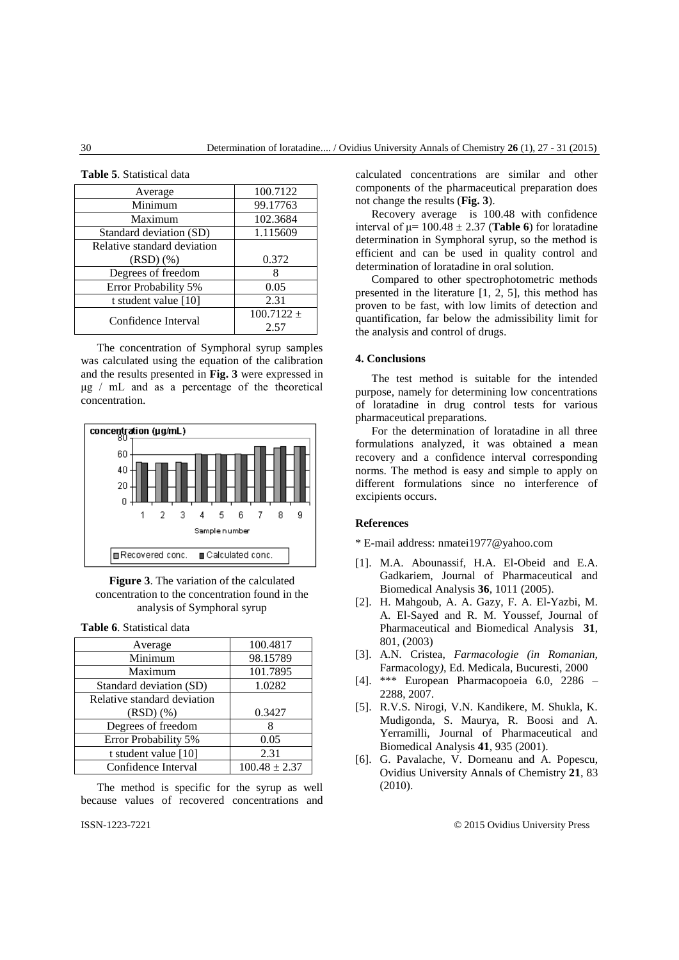| Average                     | 100.7122       |
|-----------------------------|----------------|
| Minimum                     | 99.17763       |
| Maximum                     | 102.3684       |
| Standard deviation (SD)     | 1.115609       |
| Relative standard deviation |                |
| $(RSD)(\%)$                 | 0.372          |
| Degrees of freedom          | 8              |
| Error Probability 5%        | 0.05           |
| t student value $[10]$      | 2.31           |
| Confidence Interval         | $100.7122 \pm$ |
|                             | 2.57           |

The concentration of Symphoral syrup samples was calculated using the equation of the calibration and the results presented in **Fig. 3** were expressed in μg / mL and as a percentage of the theoretical concentration.





| <b>Table 6. Statistical data</b> |
|----------------------------------|
|----------------------------------|

| Average                     | 100.4817          |
|-----------------------------|-------------------|
| Minimum                     | 98.15789          |
| Maximum                     | 101.7895          |
| Standard deviation (SD)     | 1.0282            |
| Relative standard deviation |                   |
| (RSD)(%                     | 0.3427            |
| Degrees of freedom          |                   |
| Error Probability 5%        | 0.05              |
| t student value $[10]$      | 2.31              |
| Confidence Interval         | $100.48 \pm 2.37$ |

The method is specific for the syrup as well because values of recovered concentrations and

calculated concentrations are similar and other components of the pharmaceutical preparation does not change the results (**Fig. 3**).

Recovery average is 100.48 with confidence interval of  $\mu$ = 100.48  $\pm$  2.37 (**Table 6**) for loratadine determination in Symphoral syrup, so the method is efficient and can be used in quality control and determination of loratadine in oral solution.

Compared to other spectrophotometric methods presented in the literature [1, 2, 5], this method has proven to be fast, with low limits of detection and quantification, far below the admissibility limit for the analysis and control of drugs.

### **4. Conclusions**

The test method is suitable for the intended purpose, namely for determining low concentrations of loratadine in drug control tests for various pharmaceutical preparations.

For the determination of loratadine in all three formulations analyzed, it was obtained a mean recovery and a confidence interval corresponding norms. The method is easy and simple to apply on different formulations since no interference of excipients occurs.

#### **References**

\* E-mail address: nmatei1977@yahoo.com

- [1]. M.A. Abounassif, H.A. El-Obeid and E.A. Gadkariem, Journal of Pharmaceutical and Biomedical Analysis **36**, 1011 (2005).
- [2]. H. Mahgoub, A. A. Gazy, F. A. El-Yazbi, M. A. El-Sayed and R. M. Youssef, Journal of Pharmaceutical and Biomedical Analysis **31**, 801, (2003)
- [3]. A.N. Cristea, *Farmacologie (in Romanian,* Farmacology*)*, Ed. Medicala, Bucuresti, 2000
- [4]. \*\*\* European Pharmacopoeia 6.0, 2286 2288, 2007.
- [5]. R.V.S. Nirogi, V.N. Kandikere, M. Shukla, K. Mudigonda, S. Maurya, R. Boosi and A. Yerramilli, Journal of Pharmaceutical and Biomedical Analysis **41**, 935 (2001).
- [6]. G. Pavalache, V. Dorneanu and A. Popescu, Ovidius University Annals of Chemistry **21**, 83 (2010).

ISSN-1223-7221 © 2015 Ovidius University Press

**Table 5**. Statistical data